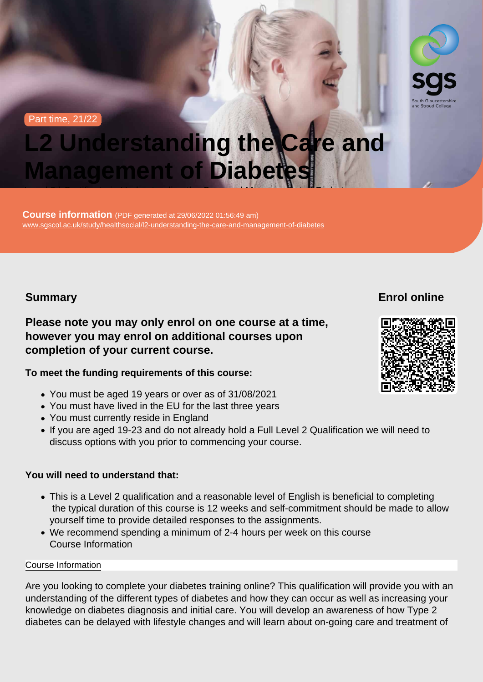Part time, 21/22

# L2 Understanding the Care and Management of Diabetes

Level 2 | Certificate in Understanding the Care and Management of Diabetes  $\alpha$ 

Course information (PDF generated at 29/06/2022 01:56:49 am) [www.sgscol.ac.uk/study/healthsocial/l2-understanding-the-care-and-management-of-diabetes](https://www.sgscol.ac.uk/study/healthsocial/l2-understanding-the-care-and-management-of-diabetes)

Summary

Enrol online

Please note you may only enrol on one course at a time, however you may enrol on additional courses upon completion of your current course.

To meet the funding requirements of this course:

- You must be aged 19 years or over as of 31/08/2021
- You must have lived in the EU for the last three years
- You must currently reside in England
- If you are aged 19-23 and do not already hold a Full Level 2 Qualification we will need to discuss options with you prior to commencing your course.

You will need to understand that:

- This is a Level 2 qualification and a reasonable level of English is beneficial to completing the typical duration of this course is 12 weeks and self-commitment should be made to allow yourself time to provide detailed responses to the assignments.
- We recommend spending a minimum of 2-4 hours per week on this course Course Information

#### Course Information

Are you looking to complete your diabetes training online? This qualification will provide you with an understanding of the different types of diabetes and how they can occur as well as increasing your knowledge on diabetes diagnosis and initial care. You will develop an awareness of how Type 2 diabetes can be delayed with lifestyle changes and will learn about on-going care and treatment of